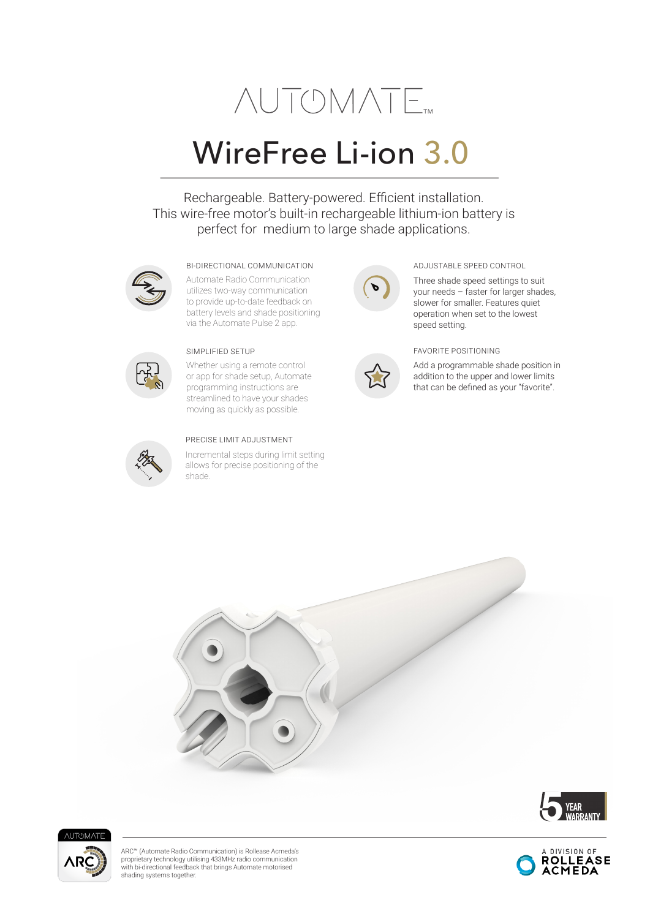# **NUTOMATE**

## WireFree Li-ion 3.0

Rechargeable. Battery-powered. Efficient installation. This wire-free motor's built-in rechargeable lithium-ion battery is perfect for medium to large shade applications.



Automate Radio Communication utilizes two-way communication to provide up-to-date feedback on battery levels and shade positioning via the Automate Pulse 2 app.



Whether using a remote control or app for shade setup, Automate programming instructions are streamlined to have your shades moving as quickly as possible.



#### PRECISE LIMIT ADJUSTMENT

Incremental steps during limit setting allows for precise positioning of the shade.





Three shade speed settings to suit your needs – faster for larger shades, slower for smaller. Features quiet operation when set to the lowest speed setting.

#### SIMPLIFIED SETUP FAVORITE POSITIONING

Add a programmable shade position in addition to the upper and lower limits that can be defined as your "favorite".







ARC™ (Automate Radio Communication) is Rollease Acmeda's proprietary technology utilising 433MHz radio communication with bi-directional feedback that brings Automate motorised shading systems together.